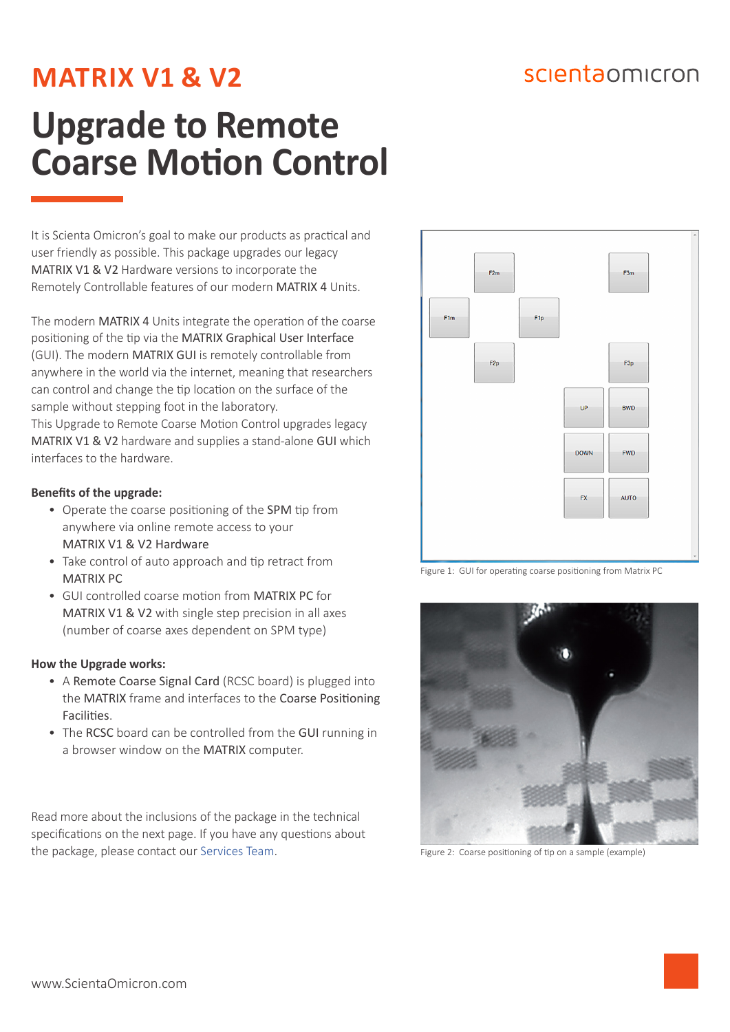## scientaomicron

## **MATRIX V1 & V2**

# **Upgrade to Remote Coarse Motion Control**

It is Scienta Omicron's goal to make our products as practical and user friendly as possible. This package upgrades our legacy MATRIX V1 & V2 Hardware versions to incorporate the Remotely Controllable features of our modern MATRIX 4 Units.

The modern MATRIX 4 Units integrate the operation of the coarse positioning of the tip via the MATRIX Graphical User Interface (GUI). The modern MATRIX GUI is remotely controllable from anywhere in the world via the internet, meaning that researchers can control and change the tip location on the surface of the sample without stepping foot in the laboratory. This Upgrade to Remote Coarse Motion Control upgrades legacy MATRIX V1 & V2 hardware and supplies a stand-alone GUI which interfaces to the hardware.

### **Benefits of the upgrade:**

- Operate the coarse positioning of the SPM tip from anywhere via online remote access to your MATRIX V1 & V2 Hardware
- Take control of auto approach and tip retract from MATRIX PC
- GUI controlled coarse motion from MATRIX PC for MATRIX V1 & V2 with single step precision in all axes (number of coarse axes dependent on SPM type)

### **How the Upgrade works:**

- A Remote Coarse Signal Card (RCSC board) is plugged into the MATRIX frame and interfaces to the Coarse Positioning Facilities.
- The RCSC board can be controlled from the GUI running in a browser window on the MATRIX computer.

Read more about the inclusions of the package in the technical specifications on the next page. If you have any questions about the package, please contact our [Services Team.](https://scientaomicron.com/ContactUs)



Figure 1: GUI for operating coarse positioning from Matrix PC



Figure 2: Coarse positioning of tip on a sample (example)